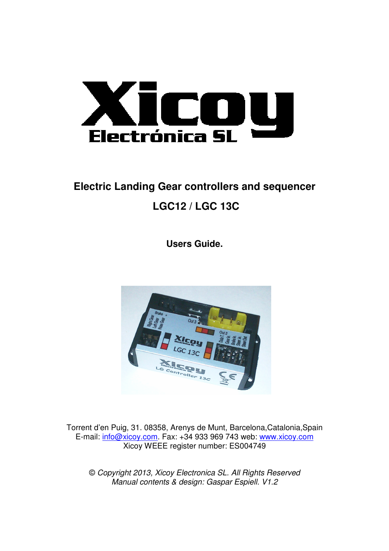

# **Electric Landing Gear controllers and sequencer LGC12 / LGC 13C**

**Users Guide.** 



Torrent d'en Puig, 31. 08358, Arenys de Munt, Barcelona,Catalonia,Spain E-mail: info@xicoy.com. Fax: +34 933 969 743 web: www.xicoy.com Xicoy WEEE register number: ES004749

© Copyright 2013, Xicoy Electronica SL. All Rights Reserved Manual contents & design: Gaspar Espiell. V1.2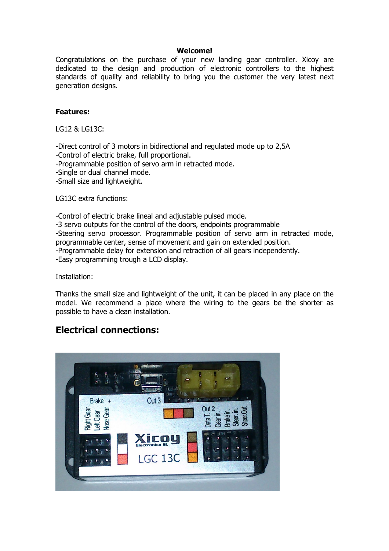#### Welcome!

Congratulations on the purchase of your new landing gear controller. Xicoy are dedicated to the design and production of electronic controllers to the highest standards of quality and reliability to bring you the customer the very latest next generation designs.

#### Features:

LG12 & LG13C:

-Direct control of 3 motors in bidirectional and regulated mode up to 2,5A -Control of electric brake, full proportional. -Programmable position of servo arm in retracted mode. -Single or dual channel mode. -Small size and lightweight.

LG13C extra functions:

-Control of electric brake lineal and adjustable pulsed mode. -3 servo outputs for the control of the doors, endpoints programmable -Steering servo processor. Programmable position of servo arm in retracted mode, programmable center, sense of movement and gain on extended position. -Programmable delay for extension and retraction of all gears independently. -Easy programming trough a LCD display.

Installation:

Thanks the small size and lightweight of the unit, it can be placed in any place on the model. We recommend a place where the wiring to the gears be the shorter as possible to have a clean installation.

## Electrical connections:

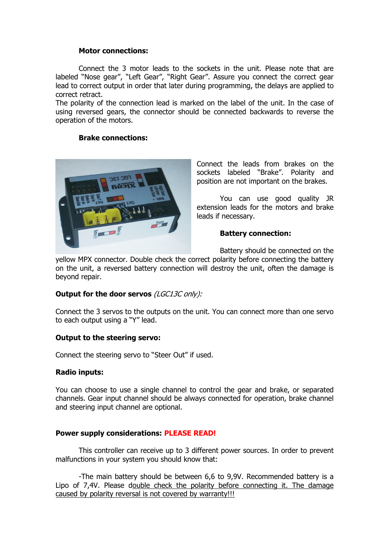#### Motor connections:

Connect the 3 motor leads to the sockets in the unit. Please note that are labeled "Nose gear", "Left Gear", "Right Gear". Assure you connect the correct gear lead to correct output in order that later during programming, the delays are applied to correct retract.

The polarity of the connection lead is marked on the label of the unit. In the case of using reversed gears, the connector should be connected backwards to reverse the operation of the motors.

### Brake connections:



Connect the leads from brakes on the sockets labeled "Brake". Polarity and position are not important on the brakes.

You can use good quality JR extension leads for the motors and brake leads if necessary.

#### Battery connection:

Battery should be connected on the

yellow MPX connector. Double check the correct polarity before connecting the battery on the unit, a reversed battery connection will destroy the unit, often the damage is beyond repair.

## Output for the door servos (LGC13C only):

Connect the 3 servos to the outputs on the unit. You can connect more than one servo to each output using a "Y" lead.

## Output to the steering servo:

Connect the steering servo to "Steer Out" if used.

#### Radio inputs:

You can choose to use a single channel to control the gear and brake, or separated channels. Gear input channel should be always connected for operation, brake channel and steering input channel are optional.

#### Power supply considerations: PLEASE READ!

This controller can receive up to 3 different power sources. In order to prevent malfunctions in your system you should know that:

 -The main battery should be between 6,6 to 9,9V. Recommended battery is a Lipo of 7,4V. Please double check the polarity before connecting it. The damage caused by polarity reversal is not covered by warranty!!!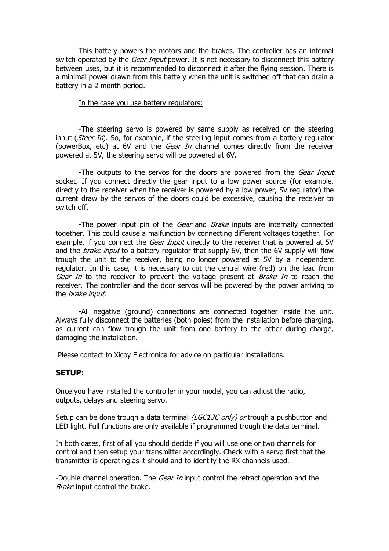This battery powers the motors and the brakes. The controller has an internal switch operated by the *Gear Input* power. It is not necessary to disconnect this battery between uses, but it is recommended to disconnect it after the flying session. There is a minimal power drawn from this battery when the unit is switched off that can drain a battery in a 2 month period.

#### In the case you use battery regulators:

 -The steering servo is powered by same supply as received on the steering input (*Steer In*). So, for example, if the steering input comes from a battery regulator (powerBox, etc) at 6V and the Gear In channel comes directly from the receiver powered at 5V, the steering servo will be powered at 6V.

-The outputs to the servos for the doors are powered from the *Gear Input* socket. If you connect directly the gear input to a low power source (for example, directly to the receiver when the receiver is powered by a low power, 5V regulator) the current draw by the servos of the doors could be excessive, causing the receiver to switch off.

-The power input pin of the Gear and Brake inputs are internally connected together. This could cause a malfunction by connecting different voltages together. For example, if you connect the *Gear Input* directly to the receiver that is powered at 5V and the *brake input* to a battery regulator that supply 6V, then the 6V supply will flow trough the unit to the receiver, being no longer powered at 5V by a independent regulator. In this case, it is necessary to cut the central wire (red) on the lead from Gear In to the receiver to prevent the voltage present at Brake In to reach the receiver. The controller and the door servos will be powered by the power arriving to the brake input.

 -All negative (ground) connections are connected together inside the unit. Always fully disconnect the batteries (both poles) from the installation before charging, as current can flow trough the unit from one battery to the other during charge, damaging the installation.

Please contact to Xicoy Electronica for advice on particular installations.

#### SETUP:

Once you have installed the controller in your model, you can adjust the radio, outputs, delays and steering servo.

Setup can be done trough a data terminal (LGC13C only) or trough a pushbutton and LED light. Full functions are only available if programmed trough the data terminal.

In both cases, first of all you should decide if you will use one or two channels for control and then setup your transmitter accordingly. Check with a servo first that the transmitter is operating as it should and to identify the RX channels used.

-Double channel operation. The *Gear In* input control the retract operation and the Brake input control the brake.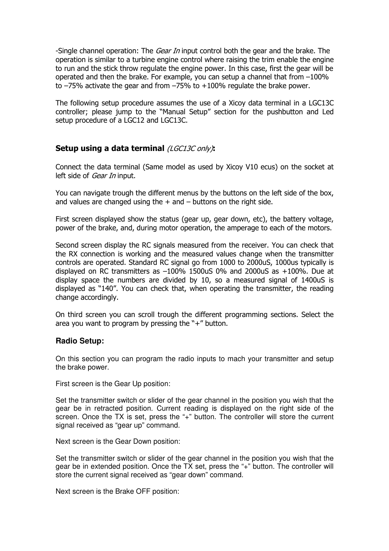-Single channel operation: The *Gear In* input control both the gear and the brake. The operation is similar to a turbine engine control where raising the trim enable the engine to run and the stick throw regulate the engine power. In this case, first the gear will be operated and then the brake. For example, you can setup a channel that from  $-100\%$ to  $-75%$  activate the gear and from  $-75%$  to  $+100%$  regulate the brake power.

The following setup procedure assumes the use of a Xicoy data terminal in a LGC13C controller; please jump to the "Manual Setup" section for the pushbutton and Led setup procedure of a LGC12 and LGC13C.

## Setup using a data terminal (LGC13C only):

Connect the data terminal (Same model as used by Xicoy V10 ecus) on the socket at left side of *Gear In* input.

You can navigate trough the different menus by the buttons on the left side of the box, and values are changed using the  $+$  and  $-$  buttons on the right side.

First screen displayed show the status (gear up, gear down, etc), the battery voltage, power of the brake, and, during motor operation, the amperage to each of the motors.

Second screen display the RC signals measured from the receiver. You can check that the RX connection is working and the measured values change when the transmitter controls are operated. Standard RC signal go from 1000 to 2000uS, 1000us typically is displayed on RC transmitters as  $-100\%$  1500uS 0% and 2000uS as  $+100\%$ . Due at display space the numbers are divided by 10, so a measured signal of 1400uS is displayed as "140". You can check that, when operating the transmitter, the reading change accordingly.

On third screen you can scroll trough the different programming sections. Select the area you want to program by pressing the "+" button.

## **Radio Setup:**

On this section you can program the radio inputs to mach your transmitter and setup the brake power.

First screen is the Gear Up position:

Set the transmitter switch or slider of the gear channel in the position you wish that the gear be in retracted position. Current reading is displayed on the right side of the screen. Once the TX is set, press the "+" button. The controller will store the current signal received as "gear up" command.

Next screen is the Gear Down position:

Set the transmitter switch or slider of the gear channel in the position you wish that the gear be in extended position. Once the TX set, press the "+" button. The controller will store the current signal received as "gear down" command.

Next screen is the Brake OFF position: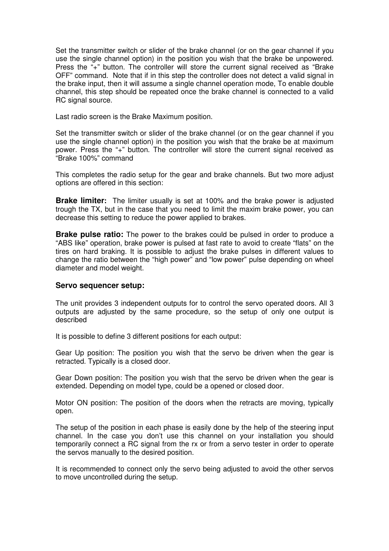Set the transmitter switch or slider of the brake channel (or on the gear channel if you use the single channel option) in the position you wish that the brake be unpowered. Press the "+" button. The controller will store the current signal received as "Brake OFF" command. Note that if in this step the controller does not detect a valid signal in the brake input, then it will assume a single channel operation mode, To enable double channel, this step should be repeated once the brake channel is connected to a valid RC signal source.

Last radio screen is the Brake Maximum position.

Set the transmitter switch or slider of the brake channel (or on the gear channel if you use the single channel option) in the position you wish that the brake be at maximum power. Press the "+" button. The controller will store the current signal received as "Brake 100%" command

This completes the radio setup for the gear and brake channels. But two more adjust options are offered in this section:

**Brake limiter:** The limiter usually is set at 100% and the brake power is adjusted trough the TX, but in the case that you need to limit the maxim brake power, you can decrease this setting to reduce the power applied to brakes.

**Brake pulse ratio:** The power to the brakes could be pulsed in order to produce a "ABS like" operation, brake power is pulsed at fast rate to avoid to create "flats" on the tires on hard braking. It is possible to adjust the brake pulses in different values to change the ratio between the "high power" and "low power" pulse depending on wheel diameter and model weight.

#### **Servo sequencer setup:**

The unit provides 3 independent outputs for to control the servo operated doors. All 3 outputs are adjusted by the same procedure, so the setup of only one output is described

It is possible to define 3 different positions for each output:

Gear Up position: The position you wish that the servo be driven when the gear is retracted. Typically is a closed door.

Gear Down position: The position you wish that the servo be driven when the gear is extended. Depending on model type, could be a opened or closed door.

Motor ON position: The position of the doors when the retracts are moving, typically open.

The setup of the position in each phase is easily done by the help of the steering input channel. In the case you don't use this channel on your installation you should temporarily connect a RC signal from the rx or from a servo tester in order to operate the servos manually to the desired position.

It is recommended to connect only the servo being adjusted to avoid the other servos to move uncontrolled during the setup.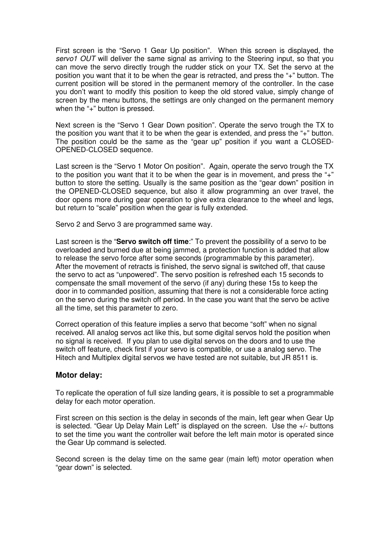First screen is the "Servo 1 Gear Up position". When this screen is displayed, the servo1 OUT will deliver the same signal as arriving to the Steering input, so that you can move the servo directly trough the rudder stick on your TX. Set the servo at the position you want that it to be when the gear is retracted, and press the "+" button. The current position will be stored in the permanent memory of the controller. In the case you don't want to modify this position to keep the old stored value, simply change of screen by the menu buttons, the settings are only changed on the permanent memory when the "+" button is pressed.

Next screen is the "Servo 1 Gear Down position". Operate the servo trough the TX to the position you want that it to be when the gear is extended, and press the "+" button. The position could be the same as the "gear up" position if you want a CLOSED-OPENED-CLOSED sequence.

Last screen is the "Servo 1 Motor On position". Again, operate the servo trough the TX to the position you want that it to be when the gear is in movement, and press the "+" button to store the setting. Usually is the same position as the "gear down" position in the OPENED-CLOSED sequence, but also it allow programming an over travel, the door opens more during gear operation to give extra clearance to the wheel and legs, but return to "scale" position when the gear is fully extended.

Servo 2 and Servo 3 are programmed same way.

Last screen is the "**Servo switch off time**:" To prevent the possibility of a servo to be overloaded and burned due at being jammed, a protection function is added that allow to release the servo force after some seconds (programmable by this parameter). After the movement of retracts is finished, the servo signal is switched off, that cause the servo to act as "unpowered". The servo position is refreshed each 15 seconds to compensate the small movement of the servo (if any) during these 15s to keep the door in to commanded position, assuming that there is not a considerable force acting on the servo during the switch off period. In the case you want that the servo be active all the time, set this parameter to zero.

Correct operation of this feature implies a servo that become "soft" when no signal received. All analog servos act like this, but some digital servos hold the position when no signal is received. If you plan to use digital servos on the doors and to use the switch off feature, check first if your servo is compatible, or use a analog servo. The Hitech and Multiplex digital servos we have tested are not suitable, but JR 8511 is.

## **Motor delay:**

To replicate the operation of full size landing gears, it is possible to set a programmable delay for each motor operation.

First screen on this section is the delay in seconds of the main, left gear when Gear Up is selected. "Gear Up Delay Main Left" is displayed on the screen. Use the +/- buttons to set the time you want the controller wait before the left main motor is operated since the Gear Up command is selected.

Second screen is the delay time on the same gear (main left) motor operation when "gear down" is selected.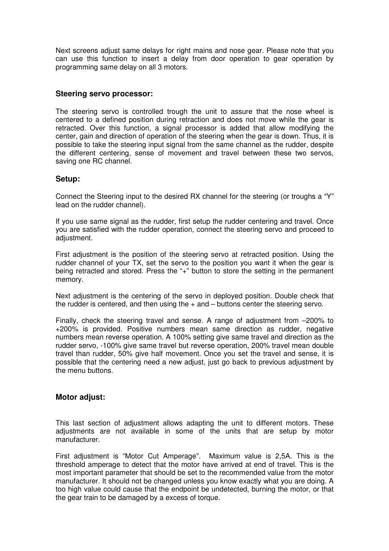Next screens adjust same delays for right mains and nose gear. Please note that you can use this function to insert a delay from door operation to gear operation by programming same delay on all 3 motors.

#### **Steering servo processor:**

The steering servo is controlled trough the unit to assure that the nose wheel is centered to a defined position during retraction and does not move while the gear is retracted. Over this function, a signal processor is added that allow modifying the center, gain and direction of operation of the steering when the gear is down. Thus, it is possible to take the steering input signal from the same channel as the rudder, despite the different centering, sense of movement and travel between these two servos, saving one RC channel.

#### **Setup:**

Connect the Steering input to the desired RX channel for the steering (or troughs a "Y" lead on the rudder channel).

If you use same signal as the rudder, first setup the rudder centering and travel. Once you are satisfied with the rudder operation, connect the steering servo and proceed to adjustment.

First adjustment is the position of the steering servo at retracted position. Using the rudder channel of your TX, set the servo to the position you want it when the gear is being retracted and stored. Press the "+" button to store the setting in the permanent memory.

Next adjustment is the centering of the servo in deployed position. Double check that the rudder is centered, and then using the  $+$  and  $-$  buttons center the steering servo.

Finally, check the steering travel and sense. A range of adjustment from –200% to +200% is provided. Positive numbers mean same direction as rudder, negative numbers mean reverse operation. A 100% setting give same travel and direction as the rudder servo, -100% give same travel but reverse operation, 200% travel mean double travel than rudder, 50% give half movement. Once you set the travel and sense, it is possible that the centering need a new adjust, just go back to previous adjustment by the menu buttons.

#### **Motor adjust:**

This last section of adjustment allows adapting the unit to different motors. These adjustments are not available in some of the units that are setup by motor manufacturer.

First adjustment is "Motor Cut Amperage". Maximum value is 2,5A. This is the threshold amperage to detect that the motor have arrived at end of travel. This is the most important parameter that should be set to the recommended value from the motor manufacturer. It should not be changed unless you know exactly what you are doing. A too high value could cause that the endpoint be undetected, burning the motor, or that the gear train to be damaged by a excess of torque.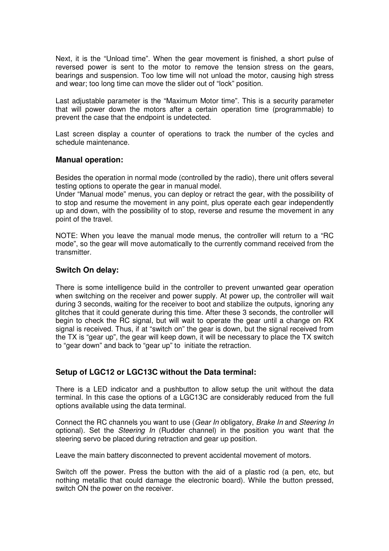Next, it is the "Unload time". When the gear movement is finished, a short pulse of reversed power is sent to the motor to remove the tension stress on the gears, bearings and suspension. Too low time will not unload the motor, causing high stress and wear; too long time can move the slider out of "lock" position.

Last adjustable parameter is the "Maximum Motor time". This is a security parameter that will power down the motors after a certain operation time (programmable) to prevent the case that the endpoint is undetected.

Last screen display a counter of operations to track the number of the cycles and schedule maintenance.

#### **Manual operation:**

Besides the operation in normal mode (controlled by the radio), there unit offers several testing options to operate the gear in manual model.

Under "Manual mode" menus, you can deploy or retract the gear, with the possibility of to stop and resume the movement in any point, plus operate each gear independently up and down, with the possibility of to stop, reverse and resume the movement in any point of the travel.

NOTE: When you leave the manual mode menus, the controller will return to a "RC mode", so the gear will move automatically to the currently command received from the transmitter.

## **Switch On delay:**

There is some intelligence build in the controller to prevent unwanted gear operation when switching on the receiver and power supply. At power up, the controller will wait during 3 seconds, waiting for the receiver to boot and stabilize the outputs, ignoring any glitches that it could generate during this time. After these 3 seconds, the controller will begin to check the RC signal, but will wait to operate the gear until a change on RX signal is received. Thus, if at "switch on" the gear is down, but the signal received from the TX is "gear up", the gear will keep down, it will be necessary to place the TX switch to "gear down" and back to "gear up" to initiate the retraction.

## **Setup of LGC12 or LGC13C without the Data terminal:**

There is a LED indicator and a pushbutton to allow setup the unit without the data terminal. In this case the options of a LGC13C are considerably reduced from the full options available using the data terminal.

Connect the RC channels you want to use (Gear In obligatory, Brake In and Steering In optional). Set the *Steering In* (Rudder channel) in the position you want that the steering servo be placed during retraction and gear up position.

Leave the main battery disconnected to prevent accidental movement of motors.

Switch off the power. Press the button with the aid of a plastic rod (a pen, etc, but nothing metallic that could damage the electronic board). While the button pressed, switch ON the power on the receiver.